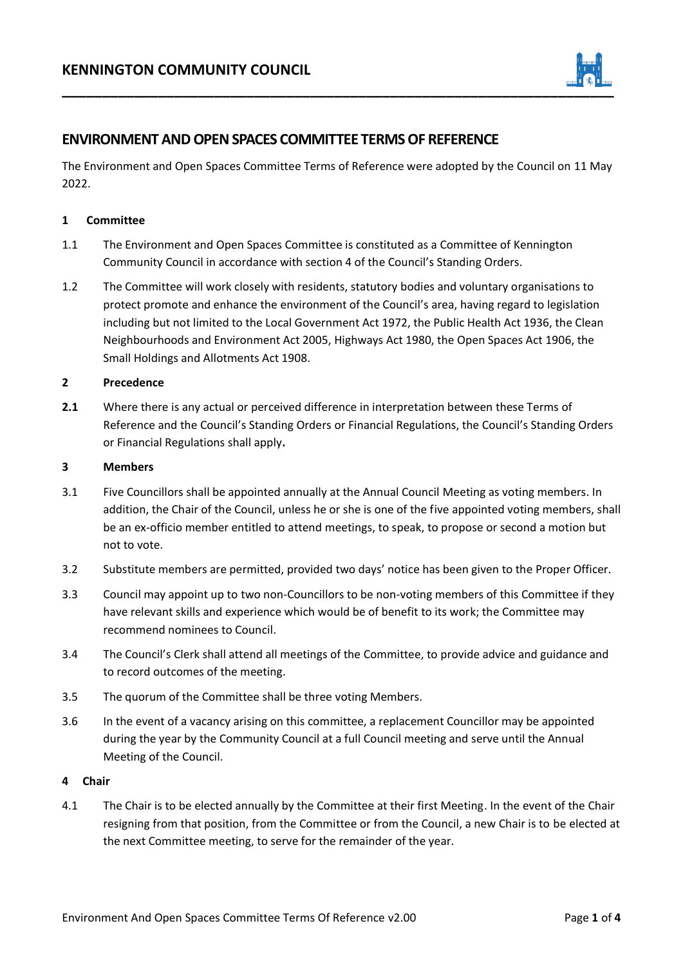

## **ENVIRONMENT AND OPEN SPACES COMMITTEE TERMS OF REFERENCE**

The Environment and Open Spaces Committee Terms of Reference were adopted by the Council on 11 May 2022.

## **1 Committee**

- 1.1 The Environment and Open Spaces Committee is constituted as a Committee of Kennington Community Council in accordance with section 4 of the Council's Standing Orders.
- 1.2 The Committee will work closely with residents, statutory bodies and voluntary organisations to protect promote and enhance the environment of the Council's area, having regard to legislation including but not limited to the Local Government Act 1972, the Public Health Act 1936, the Clean Neighbourhoods and Environment Act 2005, Highways Act 1980, the Open Spaces Act 1906, the Small Holdings and Allotments Act 1908.

## **2 Precedence**

**2.1** Where there is any actual or perceived difference in interpretation between these Terms of Reference and the Council's Standing Orders or Financial Regulations, the Council's Standing Orders or Financial Regulations shall apply**.**

#### **3 Members**

- 3.1 Five Councillors shall be appointed annually at the Annual Council Meeting as voting members. In addition, the Chair of the Council, unless he or she is one of the five appointed voting members, shall be an ex-officio member entitled to attend meetings, to speak, to propose or second a motion but not to vote.
- 3.2 Substitute members are permitted, provided two days' notice has been given to the Proper Officer.
- 3.3 Council may appoint up to two non-Councillors to be non-voting members of this Committee if they have relevant skills and experience which would be of benefit to its work; the Committee may recommend nominees to Council.
- 3.4 The Council's Clerk shall attend all meetings of the Committee, to provide advice and guidance and to record outcomes of the meeting.
- 3.5 The quorum of the Committee shall be three voting Members.
- 3.6 In the event of a vacancy arising on this committee, a replacement Councillor may be appointed during the year by the Community Council at a full Council meeting and serve until the Annual Meeting of the Council.

#### **4 Chair**

4.1 The Chair is to be elected annually by the Committee at their first Meeting. In the event of the Chair resigning from that position, from the Committee or from the Council, a new Chair is to be elected at the next Committee meeting, to serve for the remainder of the year.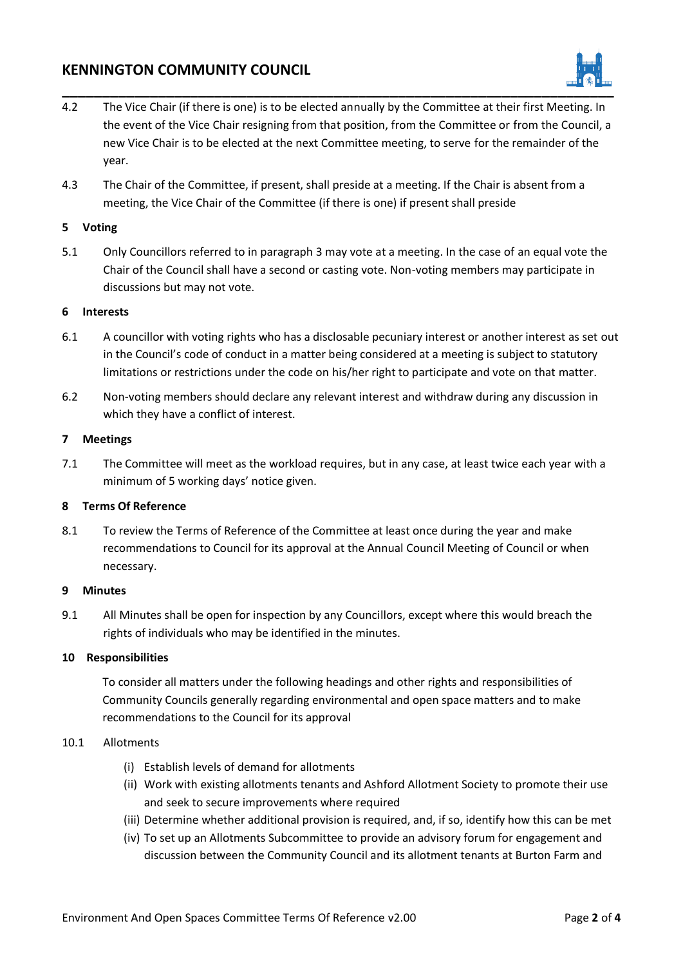# **KENNINGTON COMMUNITY COUNCIL**



- 4.2 The Vice Chair (if there is one) is to be elected annually by the Committee at their first Meeting. In the event of the Vice Chair resigning from that position, from the Committee or from the Council, a new Vice Chair is to be elected at the next Committee meeting, to serve for the remainder of the year.
- 4.3 The Chair of the Committee, if present, shall preside at a meeting. If the Chair is absent from a meeting, the Vice Chair of the Committee (if there is one) if present shall preside

## **5 Voting**

5.1 Only Councillors referred to in paragraph 3 may vote at a meeting. In the case of an equal vote the Chair of the Council shall have a second or casting vote. Non-voting members may participate in discussions but may not vote.

## **6 Interests**

- 6.1 A councillor with voting rights who has a disclosable pecuniary interest or another interest as set out in the Council's code of conduct in a matter being considered at a meeting is subject to statutory limitations or restrictions under the code on his/her right to participate and vote on that matter.
- 6.2 Non-voting members should declare any relevant interest and withdraw during any discussion in which they have a conflict of interest.

#### **7 Meetings**

7.1 The Committee will meet as the workload requires, but in any case, at least twice each year with a minimum of 5 working days' notice given.

## **8 Terms Of Reference**

8.1 To review the Terms of Reference of the Committee at least once during the year and make recommendations to Council for its approval at the Annual Council Meeting of Council or when necessary.

## **9 Minutes**

9.1 All Minutes shall be open for inspection by any Councillors, except where this would breach the rights of individuals who may be identified in the minutes.

## **10 Responsibilities**

To consider all matters under the following headings and other rights and responsibilities of Community Councils generally regarding environmental and open space matters and to make recommendations to the Council for its approval

#### 10.1 Allotments

- (i) Establish levels of demand for allotments
- (ii) Work with existing allotments tenants and Ashford Allotment Society to promote their use and seek to secure improvements where required
- (iii) Determine whether additional provision is required, and, if so, identify how this can be met
- (iv) To set up an Allotments Subcommittee to provide an advisory forum for engagement and discussion between the Community Council and its allotment tenants at Burton Farm and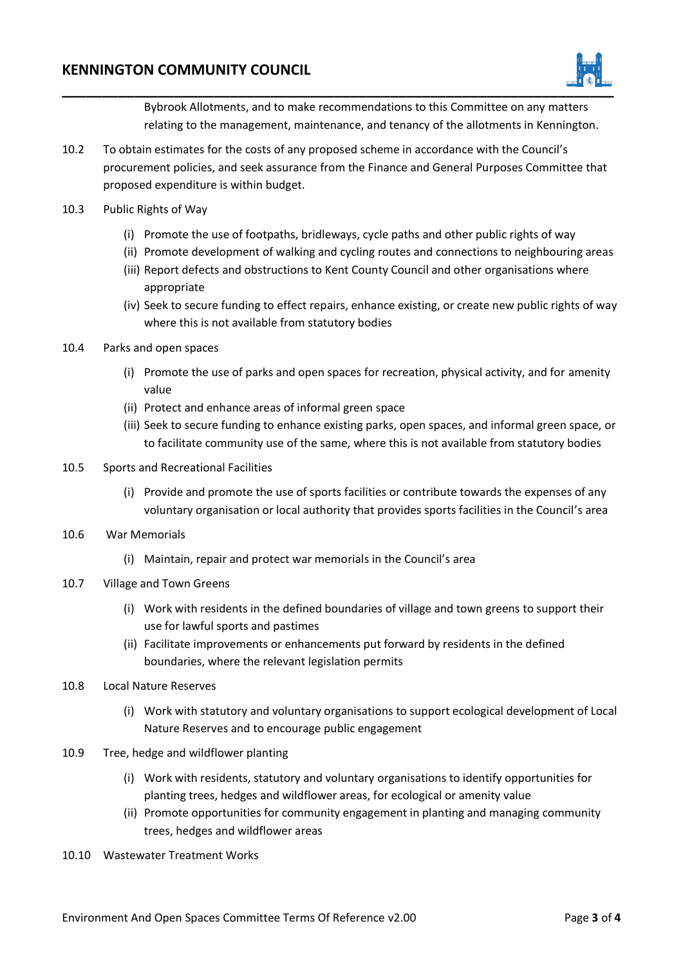## **KENNINGTON COMMUNITY COUNCIL**



Bybrook Allotments, and to make recommendations to this Committee on any matters relating to the management, maintenance, and tenancy of the allotments in Kennington.

- 10.2 To obtain estimates for the costs of any proposed scheme in accordance with the Council's procurement policies, and seek assurance from the Finance and General Purposes Committee that proposed expenditure is within budget.
- 10.3 Public Rights of Way
	- (i) Promote the use of footpaths, bridleways, cycle paths and other public rights of way
	- (ii) Promote development of walking and cycling routes and connections to neighbouring areas
	- (iii) Report defects and obstructions to Kent County Council and other organisations where appropriate
	- (iv) Seek to secure funding to effect repairs, enhance existing, or create new public rights of way where this is not available from statutory bodies
- 10.4 Parks and open spaces
	- (i) Promote the use of parks and open spaces for recreation, physical activity, and for amenity value
	- (ii) Protect and enhance areas of informal green space
	- (iii) Seek to secure funding to enhance existing parks, open spaces, and informal green space, or to facilitate community use of the same, where this is not available from statutory bodies
- 10.5 Sports and Recreational Facilities
	- (i) Provide and promote the use of sports facilities or contribute towards the expenses of any voluntary organisation or local authority that provides sports facilities in the Council's area
- 10.6 War Memorials
	- (i) Maintain, repair and protect war memorials in the Council's area
- 10.7 Village and Town Greens
	- (i) Work with residents in the defined boundaries of village and town greens to support their use for lawful sports and pastimes
	- (ii) Facilitate improvements or enhancements put forward by residents in the defined boundaries, where the relevant legislation permits
- 10.8 Local Nature Reserves
	- (i) Work with statutory and voluntary organisations to support ecological development of Local Nature Reserves and to encourage public engagement
- 10.9 Tree, hedge and wildflower planting
	- (i) Work with residents, statutory and voluntary organisations to identify opportunities for planting trees, hedges and wildflower areas, for ecological or amenity value
	- (ii) Promote opportunities for community engagement in planting and managing community trees, hedges and wildflower areas
- 10.10 Wastewater Treatment Works